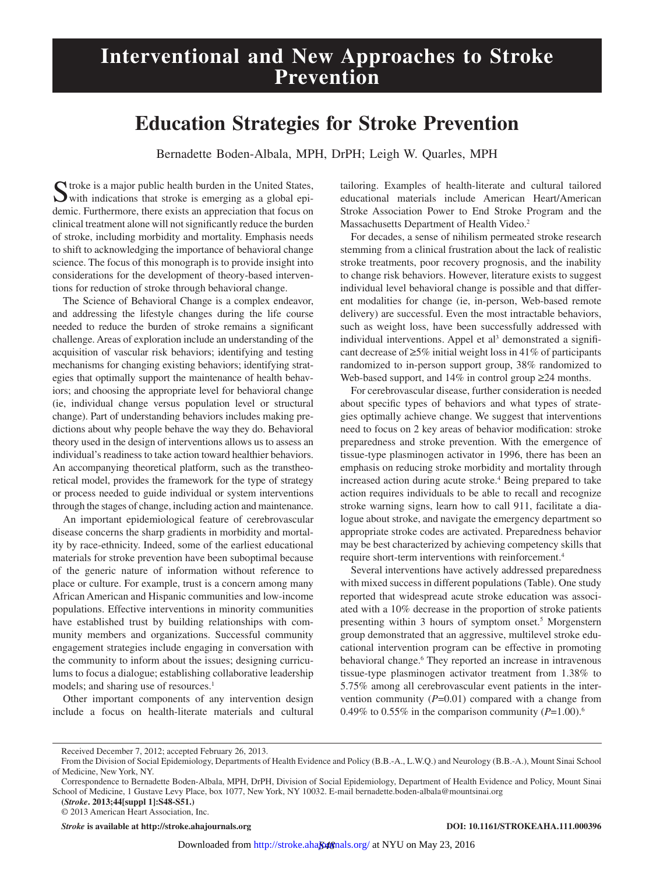# **Interventional and New Approaches to Stroke Prevention**

# **Education Strategies for Stroke Prevention**

Bernadette Boden-Albala, MPH, DrPH; Leigh W. Quarles, MPH

Stroke is a major public health burden in the United States, with indications that stroke is emerging as a global epidemic. Furthermore, there exists an appreciation that focus on clinical treatment alone will not significantly reduce the burden of stroke, including morbidity and mortality. Emphasis needs to shift to acknowledging the importance of behavioral change science. The focus of this monograph is to provide insight into considerations for the development of theory-based interventions for reduction of stroke through behavioral change.

The Science of Behavioral Change is a complex endeavor, and addressing the lifestyle changes during the life course needed to reduce the burden of stroke remains a significant challenge. Areas of exploration include an understanding of the acquisition of vascular risk behaviors; identifying and testing mechanisms for changing existing behaviors; identifying strategies that optimally support the maintenance of health behaviors; and choosing the appropriate level for behavioral change (ie, individual change versus population level or structural change). Part of understanding behaviors includes making predictions about why people behave the way they do. Behavioral theory used in the design of interventions allows us to assess an individual's readiness to take action toward healthier behaviors. An accompanying theoretical platform, such as the transtheoretical model, provides the framework for the type of strategy or process needed to guide individual or system interventions through the stages of change, including action and maintenance.

An important epidemiological feature of cerebrovascular disease concerns the sharp gradients in morbidity and mortality by race-ethnicity. Indeed, some of the earliest educational materials for stroke prevention have been suboptimal because of the generic nature of information without reference to place or culture. For example, trust is a concern among many African American and Hispanic communities and low-income populations. Effective interventions in minority communities have established trust by building relationships with community members and organizations. Successful community engagement strategies include engaging in conversation with the community to inform about the issues; designing curriculums to focus a dialogue; establishing collaborative leadership models; and sharing use of resources.<sup>1</sup>

Other important components of any intervention design include a focus on health-literate materials and cultural

tailoring. Examples of health-literate and cultural tailored educational materials include American Heart/American Stroke Association Power to End Stroke Program and the Massachusetts Department of Health Video.<sup>2</sup>

For decades, a sense of nihilism permeated stroke research stemming from a clinical frustration about the lack of realistic stroke treatments, poor recovery prognosis, and the inability to change risk behaviors. However, literature exists to suggest individual level behavioral change is possible and that different modalities for change (ie, in-person, Web-based remote delivery) are successful. Even the most intractable behaviors, such as weight loss, have been successfully addressed with individual interventions. Appel et al<sup>3</sup> demonstrated a significant decrease of ≥5% initial weight loss in 41% of participants randomized to in-person support group, 38% randomized to Web-based support, and 14% in control group ≥24 months.

For cerebrovascular disease, further consideration is needed about specific types of behaviors and what types of strategies optimally achieve change. We suggest that interventions need to focus on 2 key areas of behavior modification: stroke preparedness and stroke prevention. With the emergence of tissue-type plasminogen activator in 1996, there has been an emphasis on reducing stroke morbidity and mortality through increased action during acute stroke.<sup>4</sup> Being prepared to take action requires individuals to be able to recall and recognize stroke warning signs, learn how to call 911, facilitate a dialogue about stroke, and navigate the emergency department so appropriate stroke codes are activated. Preparedness behavior may be best characterized by achieving competency skills that require short-term interventions with reinforcement.4

Several interventions have actively addressed preparedness with mixed success in different populations (Table). One study reported that widespread acute stroke education was associated with a 10% decrease in the proportion of stroke patients presenting within 3 hours of symptom onset.<sup>5</sup> Morgenstern group demonstrated that an aggressive, multilevel stroke educational intervention program can be effective in promoting behavioral change.<sup>6</sup> They reported an increase in intravenous tissue-type plasminogen activator treatment from 1.38% to 5.75% among all cerebrovascular event patients in the intervention community  $(P=0.01)$  compared with a change from 0.49% to 0.55% in the comparison community  $(P=1.00)$ .<sup>6</sup>

**(***Stroke***. 2013;44[suppl 1]:S48-S51.)**

© 2013 American Heart Association, Inc.

Received December 7, 2012; accepted February 26, 2013.

From the Division of Social Epidemiology, Departments of Health Evidence and Policy (B.B.-A., L.W.Q.) and Neurology (B.B.-A.), Mount Sinai School of Medicine, New York, NY.

Correspondence to Bernadette Boden-Albala, MPH, DrPH, Division of Social Epidemiology, Department of Health Evidence and Policy, Mount Sinai School of Medicine, 1 Gustave Levy Place, box 1077, New York, NY 10032. E-mail [bernadette.boden-albala@mountsinai.org](mailto:bernadette.boden-albala@mountsinai.org)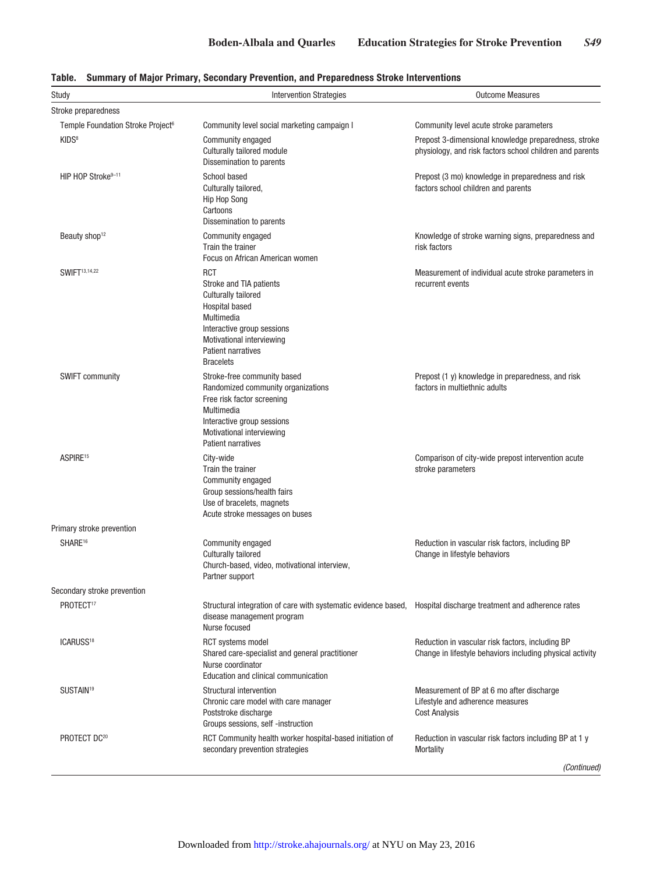### **Table. Summary of Major Primary, Secondary Prevention, and Preparedness Stroke Interventions**

| Study                                         | <b>Intervention Strategies</b>                                                                                                                                                                                  | <b>Outcome Measures</b>                                                                                          |  |
|-----------------------------------------------|-----------------------------------------------------------------------------------------------------------------------------------------------------------------------------------------------------------------|------------------------------------------------------------------------------------------------------------------|--|
| Stroke preparedness                           |                                                                                                                                                                                                                 |                                                                                                                  |  |
| Temple Foundation Stroke Project <sup>6</sup> | Community level social marketing campaign I                                                                                                                                                                     | Community level acute stroke parameters                                                                          |  |
| KIDS <sup>8</sup>                             | Community engaged<br>Culturally tailored module<br>Dissemination to parents                                                                                                                                     | Prepost 3-dimensional knowledge preparedness, stroke<br>physiology, and risk factors school children and parents |  |
| HIP HOP Stroke9-11                            | School based<br>Culturally tailored,<br>Hip Hop Song<br>Cartoons<br>Dissemination to parents                                                                                                                    | Prepost (3 mo) knowledge in preparedness and risk<br>factors school children and parents                         |  |
| Beauty shop <sup>12</sup>                     | Community engaged<br>Train the trainer<br>Focus on African American women                                                                                                                                       | Knowledge of stroke warning signs, preparedness and<br>risk factors                                              |  |
| <b>SWIFT</b> 13,14,22                         | <b>RCT</b><br>Stroke and TIA patients<br><b>Culturally tailored</b><br>Hospital based<br>Multimedia<br>Interactive group sessions<br>Motivational interviewing<br><b>Patient narratives</b><br><b>Bracelets</b> | Measurement of individual acute stroke parameters in<br>recurrent events                                         |  |
| <b>SWIFT community</b>                        | Stroke-free community based<br>Randomized community organizations<br>Free risk factor screening<br>Multimedia<br>Interactive group sessions<br>Motivational interviewing<br><b>Patient narratives</b>           | Prepost (1 y) knowledge in preparedness, and risk<br>factors in multiethnic adults                               |  |
| ASPIRE <sup>15</sup>                          | City-wide<br>Train the trainer<br>Community engaged<br>Group sessions/health fairs<br>Use of bracelets, magnets<br>Acute stroke messages on buses                                                               | Comparison of city-wide prepost intervention acute<br>stroke parameters                                          |  |
| Primary stroke prevention                     |                                                                                                                                                                                                                 |                                                                                                                  |  |
| SHARE <sup>16</sup>                           | Community engaged<br><b>Culturally tailored</b><br>Church-based, video, motivational interview,<br>Partner support                                                                                              | Reduction in vascular risk factors, including BP<br>Change in lifestyle behaviors                                |  |
| Secondary stroke prevention                   |                                                                                                                                                                                                                 |                                                                                                                  |  |
| PROTECT <sup>17</sup>                         | Structural integration of care with systematic evidence based,<br>disease management program<br>Nurse focused                                                                                                   | Hospital discharge treatment and adherence rates                                                                 |  |
| ICARUSS <sup>18</sup>                         | <b>RCT</b> systems model<br>Shared care-specialist and general practitioner<br>Nurse coordinator<br>Education and clinical communication                                                                        | Reduction in vascular risk factors, including BP<br>Change in lifestyle behaviors including physical activity    |  |
| SUSTAIN <sup>19</sup>                         | Structural intervention<br>Chronic care model with care manager<br>Poststroke discharge<br>Groups sessions, self -instruction                                                                                   | Measurement of BP at 6 mo after discharge<br>Lifestyle and adherence measures<br><b>Cost Analysis</b>            |  |
| PROTECT DC <sup>20</sup>                      | RCT Community health worker hospital-based initiation of<br>secondary prevention strategies                                                                                                                     | Reduction in vascular risk factors including BP at 1 y<br><b>Mortality</b>                                       |  |
|                                               |                                                                                                                                                                                                                 | (Continued)                                                                                                      |  |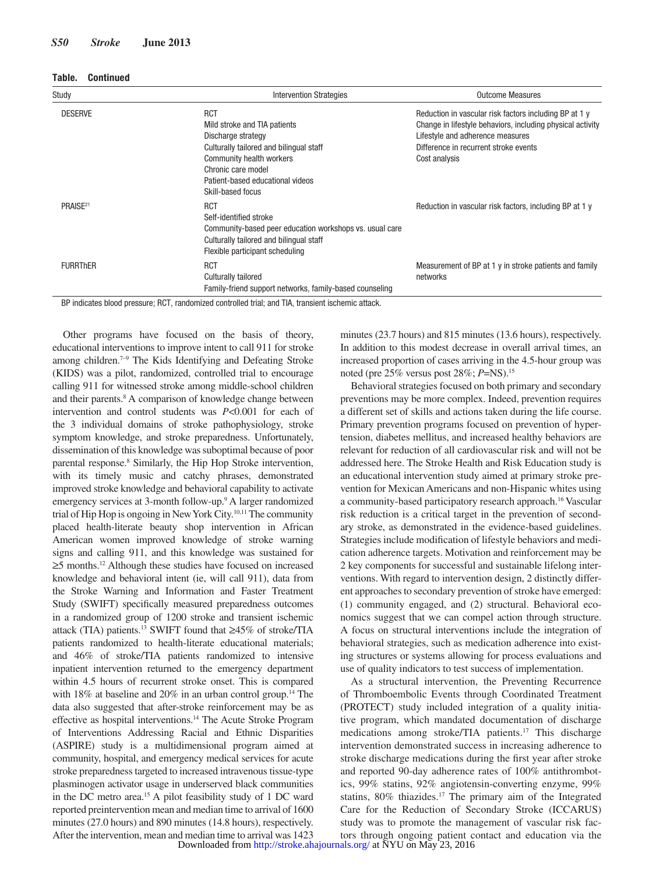| Table. | <b>Continued</b> |  |  |  |  |  |
|--------|------------------|--|--|--|--|--|
|--------|------------------|--|--|--|--|--|

| Study                | <b>Intervention Strategies</b>                                                                                                                                                                                         | <b>Outcome Measures</b>                                                                                                                                                                                            |
|----------------------|------------------------------------------------------------------------------------------------------------------------------------------------------------------------------------------------------------------------|--------------------------------------------------------------------------------------------------------------------------------------------------------------------------------------------------------------------|
| <b>DESERVE</b>       | <b>RCT</b><br>Mild stroke and TIA patients<br>Discharge strategy<br>Culturally tailored and bilingual staff<br>Community health workers<br>Chronic care model<br>Patient-based educational videos<br>Skill-based focus | Reduction in vascular risk factors including BP at 1 y<br>Change in lifestyle behaviors, including physical activity<br>Lifestyle and adherence measures<br>Difference in recurrent stroke events<br>Cost analysis |
| PRAISE <sup>21</sup> | <b>RCT</b><br>Self-identified stroke<br>Community-based peer education workshops vs. usual care<br>Culturally tailored and bilingual staff<br>Flexible participant scheduling                                          | Reduction in vascular risk factors, including BP at 1 y                                                                                                                                                            |
| <b>FURRTHER</b>      | <b>RCT</b><br>Culturally tailored<br>Family-friend support networks, family-based counseling                                                                                                                           | Measurement of BP at 1 y in stroke patients and family<br>networks                                                                                                                                                 |

BP indicates blood pressure; RCT, randomized controlled trial; and TIA, transient ischemic attack.

Other programs have focused on the basis of theory, educational interventions to improve intent to call 911 for stroke among children.7–9 The Kids Identifying and Defeating Stroke (KIDS) was a pilot, randomized, controlled trial to encourage calling 911 for witnessed stroke among middle-school children and their parents.<sup>8</sup> A comparison of knowledge change between intervention and control students was *P*<0.001 for each of the 3 individual domains of stroke pathophysiology, stroke symptom knowledge, and stroke preparedness. Unfortunately, dissemination of this knowledge was suboptimal because of poor parental response.8 Similarly, the Hip Hop Stroke intervention, with its timely music and catchy phrases, demonstrated improved stroke knowledge and behavioral capability to activate emergency services at 3-month follow-up.<sup>9</sup> A larger randomized trial of Hip Hop is ongoing in New York City.10,11 The community placed health-literate beauty shop intervention in African American women improved knowledge of stroke warning signs and calling 911, and this knowledge was sustained for ≥5 months.12 Although these studies have focused on increased knowledge and behavioral intent (ie, will call 911), data from the Stroke Warning and Information and Faster Treatment Study (SWIFT) specifically measured preparedness outcomes in a randomized group of 1200 stroke and transient ischemic attack (TIA) patients.13 SWIFT found that ≥45% of stroke/TIA patients randomized to health-literate educational materials; and 46% of stroke/TIA patients randomized to intensive inpatient intervention returned to the emergency department within 4.5 hours of recurrent stroke onset. This is compared with 18% at baseline and 20% in an urban control group.<sup>14</sup> The data also suggested that after-stroke reinforcement may be as effective as hospital interventions.14 The Acute Stroke Program of Interventions Addressing Racial and Ethnic Disparities (ASPIRE) study is a multidimensional program aimed at community, hospital, and emergency medical services for acute stroke preparedness targeted to increased intravenous tissue-type plasminogen activator usage in underserved black communities in the DC metro area.15 A pilot feasibility study of 1 DC ward reported preintervention mean and median time to arrival of 1600 minutes (27.0 hours) and 890 minutes (14.8 hours), respectively. After the intervention, mean and median time to arrival was 1423

minutes (23.7 hours) and 815 minutes (13.6 hours), respectively. In addition to this modest decrease in overall arrival times, an increased proportion of cases arriving in the 4.5-hour group was noted (pre 25% versus post 28%; *P*=NS).15

Behavioral strategies focused on both primary and secondary preventions may be more complex. Indeed, prevention requires a different set of skills and actions taken during the life course. Primary prevention programs focused on prevention of hypertension, diabetes mellitus, and increased healthy behaviors are relevant for reduction of all cardiovascular risk and will not be addressed here. The Stroke Health and Risk Education study is an educational intervention study aimed at primary stroke prevention for Mexican Americans and non-Hispanic whites using a community-based participatory research approach.16 Vascular risk reduction is a critical target in the prevention of secondary stroke, as demonstrated in the evidence-based guidelines. Strategies include modification of lifestyle behaviors and medication adherence targets. Motivation and reinforcement may be 2 key components for successful and sustainable lifelong interventions. With regard to intervention design, 2 distinctly different approaches to secondary prevention of stroke have emerged: (1) community engaged, and (2) structural. Behavioral economics suggest that we can compel action through structure. A focus on structural interventions include the integration of behavioral strategies, such as medication adherence into existing structures or systems allowing for process evaluations and use of quality indicators to test success of implementation.

As a structural intervention, the Preventing Recurrence of Thromboembolic Events through Coordinated Treatment (PROTECT) study included integration of a quality initiative program, which mandated documentation of discharge medications among stroke/TIA patients.17 This discharge intervention demonstrated success in increasing adherence to stroke discharge medications during the first year after stroke and reported 90-day adherence rates of 100% antithrombotics, 99% statins, 92% angiotensin-converting enzyme, 99% statins,  $80\%$  thiazides.<sup>17</sup> The primary aim of the Integrated Care for the Reduction of Secondary Stroke (ICCARUS) study was to promote the management of vascular risk factors through ongoing patient contact and education via the

Downloaded from<http://stroke.ahajournals.org/>at NYU on May 23, 2016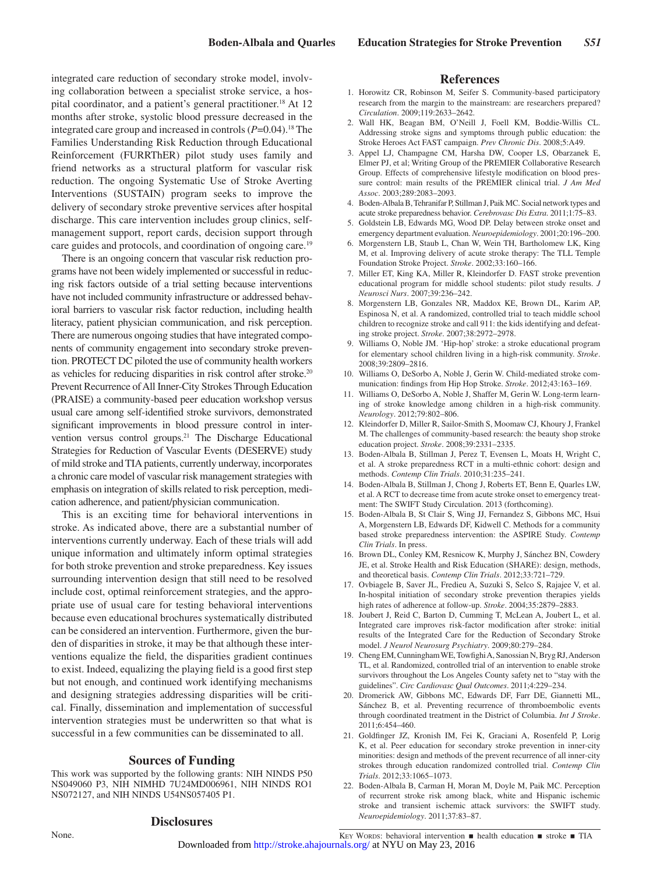integrated care reduction of secondary stroke model, involving collaboration between a specialist stroke service, a hospital coordinator, and a patient's general practitioner.<sup>18</sup> At 12 months after stroke, systolic blood pressure decreased in the integrated care group and increased in controls  $(P=0.04)$ .<sup>18</sup> The Families Understanding Risk Reduction through Educational Reinforcement (FURRThER) pilot study uses family and friend networks as a structural platform for vascular risk reduction. The ongoing Systematic Use of Stroke Averting Interventions (SUSTAIN) program seeks to improve the delivery of secondary stroke preventive services after hospital discharge. This care intervention includes group clinics, selfmanagement support, report cards, decision support through care guides and protocols, and coordination of ongoing care.<sup>19</sup>

There is an ongoing concern that vascular risk reduction programs have not been widely implemented or successful in reducing risk factors outside of a trial setting because interventions have not included community infrastructure or addressed behavioral barriers to vascular risk factor reduction, including health literacy, patient physician communication, and risk perception. There are numerous ongoing studies that have integrated components of community engagement into secondary stroke prevention. PROTECT DC piloted the use of community health workers as vehicles for reducing disparities in risk control after stroke.<sup>20</sup> Prevent Recurrence of All Inner-City Strokes Through Education (PRAISE) a community-based peer education workshop versus usual care among self-identified stroke survivors, demonstrated significant improvements in blood pressure control in intervention versus control groups.<sup>21</sup> The Discharge Educational Strategies for Reduction of Vascular Events (DESERVE) study of mild stroke and TIA patients, currently underway, incorporates a chronic care model of vascular risk management strategies with emphasis on integration of skills related to risk perception, medication adherence, and patient/physician communication.

This is an exciting time for behavioral interventions in stroke. As indicated above, there are a substantial number of interventions currently underway. Each of these trials will add unique information and ultimately inform optimal strategies for both stroke prevention and stroke preparedness. Key issues surrounding intervention design that still need to be resolved include cost, optimal reinforcement strategies, and the appropriate use of usual care for testing behavioral interventions because even educational brochures systematically distributed can be considered an intervention. Furthermore, given the burden of disparities in stroke, it may be that although these interventions equalize the field, the disparities gradient continues to exist. Indeed, equalizing the playing field is a good first step but not enough, and continued work identifying mechanisms and designing strategies addressing disparities will be critical. Finally, dissemination and implementation of successful intervention strategies must be underwritten so that what is successful in a few communities can be disseminated to all.

#### **Sources of Funding**

This work was supported by the following grants: NIH NINDS P50 NS049060 P3, NIH NIMHD 7U24MD006961, NIH NINDS RO1 NS072127, and NIH NINDS U54NS057405 P1.

### **References**

- 1. Horowitz CR, Robinson M, Seifer S. Community-based participatory research from the margin to the mainstream: are researchers prepared? *Circulation*. 2009;119:2633–2642.
- 2. Wall HK, Beagan BM, O'Neill J, Foell KM, Boddie-Willis CL. Addressing stroke signs and symptoms through public education: the Stroke Heroes Act FAST campaign. *Prev Chronic Dis*. 2008;5:A49.
- 3. Appel LJ, Champagne CM, Harsha DW, Cooper LS, Obarzanek E, Elmer PJ, et al; Writing Group of the PREMIER Collaborative Research Group. Effects of comprehensive lifestyle modification on blood pressure control: main results of the PREMIER clinical trial. *J Am Med Assoc*. 2003;289:2083–2093.
- 4. Boden-Albala B, Tehranifar P, Stillman J, Paik MC. Social network types and acute stroke preparedness behavior. *Cerebrovasc Dis Extra*. 2011;1:75–83.
- 5. Goldstein LB, Edwards MG, Wood DP. Delay between stroke onset and emergency department evaluation. *Neuroepidemiology*. 2001;20:196–200.
- 6. Morgenstern LB, Staub L, Chan W, Wein TH, Bartholomew LK, King M, et al. Improving delivery of acute stroke therapy: The TLL Temple Foundation Stroke Project. *Stroke*. 2002;33:160–166.
- 7. Miller ET, King KA, Miller R, Kleindorfer D. FAST stroke prevention educational program for middle school students: pilot study results. *J Neurosci Nurs*. 2007;39:236–242.
- 8. Morgenstern LB, Gonzales NR, Maddox KE, Brown DL, Karim AP, Espinosa N, et al. A randomized, controlled trial to teach middle school children to recognize stroke and call 911: the kids identifying and defeating stroke project. *Stroke*. 2007;38:2972–2978.
- 9. Williams O, Noble JM. 'Hip-hop' stroke: a stroke educational program for elementary school children living in a high-risk community. *Stroke*. 2008;39:2809–2816.
- 10. Williams O, DeSorbo A, Noble J, Gerin W. Child-mediated stroke communication: findings from Hip Hop Stroke. *Stroke*. 2012;43:163–169.
- 11. Williams O, DeSorbo A, Noble J, Shaffer M, Gerin W. Long-term learning of stroke knowledge among children in a high-risk community. *Neurology*. 2012;79:802–806.
- 12. Kleindorfer D, Miller R, Sailor-Smith S, Moomaw CJ, Khoury J, Frankel M. The challenges of community-based research: the beauty shop stroke education project. *Stroke*. 2008;39:2331–2335.
- 13. Boden-Albala B, Stillman J, Perez T, Evensen L, Moats H, Wright C, et al. A stroke preparedness RCT in a multi-ethnic cohort: design and methods. *Contemp Clin Trials*. 2010;31:235–241.
- 14. Boden-Albala B, Stillman J, Chong J, Roberts ET, Benn E, Quarles LW, et al. A RCT to decrease time from acute stroke onset to emergency treatment: The SWIFT Study Circulation. 2013 (forthcoming).
- 15. Boden-Albala B, St Clair S, Wing JJ, Fernandez S, Gibbons MC, Hsui A, Morgenstern LB, Edwards DF, Kidwell C. Methods for a community based stroke preparedness intervention: the ASPIRE Study. *Contemp Clin Trials*. In press.
- 16. Brown DL, Conley KM, Resnicow K, Murphy J, Sánchez BN, Cowdery JE, et al. Stroke Health and Risk Education (SHARE): design, methods, and theoretical basis. *Contemp Clin Trials*. 2012;33:721–729.
- 17. Ovbiagele B, Saver JL, Fredieu A, Suzuki S, Selco S, Rajajee V, et al. In-hospital initiation of secondary stroke prevention therapies yields high rates of adherence at follow-up. *Stroke*. 2004;35:2879–2883.
- 18. Joubert J, Reid C, Barton D, Cumming T, McLean A, Joubert L, et al. Integrated care improves risk-factor modification after stroke: initial results of the Integrated Care for the Reduction of Secondary Stroke model. *J Neurol Neurosurg Psychiatry*. 2009;80:279–284.
- 19. Cheng EM, Cunningham WE, Towfighi A, Sanossian N, Bryg RJ, Anderson TL, et al. Randomized, controlled trial of an intervention to enable stroke survivors throughout the Los Angeles County safety net to "stay with the guidelines". *Circ Cardiovasc Qual Outcomes*. 2011;4:229–234.
- 20. Dromerick AW, Gibbons MC, Edwards DF, Farr DE, Giannetti ML, Sánchez B, et al. Preventing recurrence of thromboembolic events through coordinated treatment in the District of Columbia. *Int J Stroke*. 2011;6:454–460.
- 21. Goldfinger JZ, Kronish IM, Fei K, Graciani A, Rosenfeld P, Lorig K, et al. Peer education for secondary stroke prevention in inner-city minorities: design and methods of the prevent recurrence of all inner-city strokes through education randomized controlled trial. *Contemp Clin Trials*. 2012;33:1065–1073.
- 22. Boden-Albala B, Carman H, Moran M, Doyle M, Paik MC. Perception of recurrent stroke risk among black, white and Hispanic ischemic stroke and transient ischemic attack survivors: the SWIFT study. *Neuroepidemiology*. 2011;37:83–87.

## **Disclosures**

KEY WORDS: behavioral intervention ■ health education ■ stroke ■ TIA Downloaded from<http://stroke.ahajournals.org/>at NYU on May 23, 2016